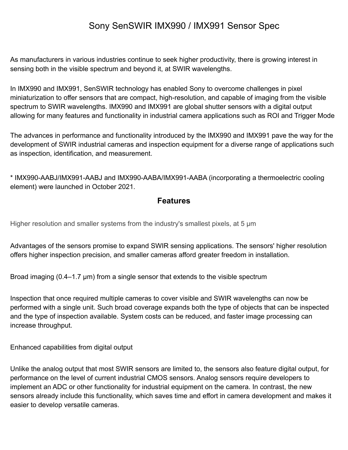# Sony SenSWIR IMX990 / IMX991 Sensor Spec

As manufacturers in various industries continue to seek higher productivity, there is growing interest in sensing both in the visible spectrum and beyond it, at SWIR wavelengths.

In IMX990 and IMX991, SenSWIR technology has enabled Sony to overcome challenges in pixel miniaturization to offer sensors that are compact, high-resolution, and capable of imaging from the visible spectrum to SWIR wavelengths. IMX990 and IMX991 are global shutter sensors with a digital output allowing for many features and functionality in industrial camera applications such as ROI and Trigger Mode

The advances in performance and functionality introduced by the IMX990 and IMX991 pave the way for the development of SWIR industrial cameras and inspection equipment for a diverse range of applications such as inspection, identification, and measurement.

\* IMX990-AABJ/IMX991-AABJ and IMX990-AABA/IMX991-AABA (incorporating a thermoelectric cooling element) were launched in October 2021.

#### **Features**

Higher resolution and smaller systems from the industry's smallest pixels, at 5 μm

Advantages of the sensors promise to expand SWIR sensing applications. The sensors' higher resolution offers higher inspection precision, and smaller cameras afford greater freedom in installation.

Broad imaging (0.4–1.7 μm) from a single sensor that extends to the visible spectrum

Inspection that once required multiple cameras to cover visible and SWIR wavelengths can now be performed with a single unit. Such broad coverage expands both the type of objects that can be inspected and the type of inspection available. System costs can be reduced, and faster image processing can increase throughput.

Enhanced capabilities from digital output

Unlike the analog output that most SWIR sensors are limited to, the sensors also feature digital output, for performance on the level of current industrial CMOS sensors. Analog sensors require developers to implement an ADC or other functionality for industrial equipment on the camera. In contrast, the new sensors already include this functionality, which saves time and effort in camera development and makes it easier to develop versatile cameras.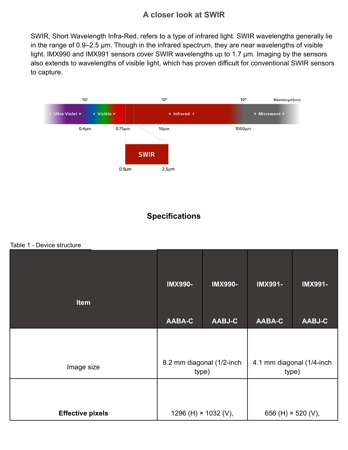### **A closer look at SWIR**

SWIR, Short Wavelength Infra-Red, refers to a type of infrared light. SWIR wavelengths generally lie in the range of 0.9–2.5 μm. Though in the infrared spectrum, they are near wavelengths of visible light. IMX990 and IMX991 sensors cover SWIR wavelengths up to 1.7 μm. Imaging by the sensors also extends to wavelengths of visible light, which has proven difficult for conventional SWIR sensors to capture.



## **Specifications**

Table 1 - Device structure

| <b>Item</b>             | <b>IMX990-</b>                     | <b>IMX990-</b>              | <b>IMX991-</b>                     | <b>IMX991-</b> |  |
|-------------------------|------------------------------------|-----------------------------|------------------------------------|----------------|--|
|                         | <b>AABA-C</b>                      | <b>AABJ-C</b>               | <b>AABA-C</b>                      | <b>AABJ-C</b>  |  |
|                         |                                    |                             |                                    |                |  |
| Image size              | 8.2 mm diagonal (1/2-inch<br>type) |                             | 4.1 mm diagonal (1/4-inch<br>type) |                |  |
|                         |                                    |                             |                                    |                |  |
| <b>Effective pixels</b> |                                    | 1296 (H) $\times$ 1032 (V), | 656 (H) $\times$ 520 (V),          |                |  |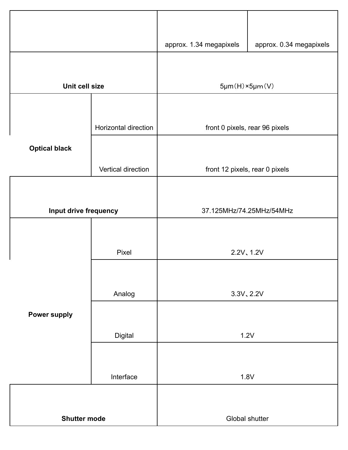|                       |                      | approx. 1.34 megapixels        | approx. 0.34 megapixels |  |  |
|-----------------------|----------------------|--------------------------------|-------------------------|--|--|
|                       |                      |                                |                         |  |  |
| Unit cell size        |                      | $5\mu m(H) \times 5\mu m(V)$   |                         |  |  |
|                       |                      |                                |                         |  |  |
|                       | Horizontal direction | front 0 pixels, rear 96 pixels |                         |  |  |
| <b>Optical black</b>  |                      |                                |                         |  |  |
|                       | Vertical direction   | front 12 pixels, rear 0 pixels |                         |  |  |
|                       |                      |                                |                         |  |  |
| Input drive frequency |                      | 37.125MHz/74.25MHz/54MHz       |                         |  |  |
|                       |                      |                                |                         |  |  |
|                       | Pixel                | 2.2V, 1.2V                     |                         |  |  |
|                       |                      |                                |                         |  |  |
|                       | Analog               | 3.3V, 2.2V                     |                         |  |  |
| <b>Power supply</b>   |                      |                                |                         |  |  |
| Digital               |                      | 1.2V                           |                         |  |  |
|                       |                      |                                |                         |  |  |
|                       | Interface            | 1.8V                           |                         |  |  |
|                       |                      |                                |                         |  |  |
| <b>Shutter mode</b>   |                      | Global shutter                 |                         |  |  |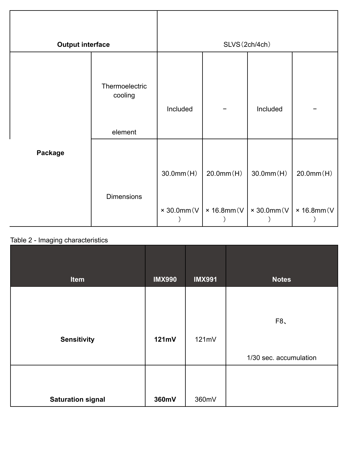| <b>Output interface</b> |                                      | SLVS(2ch/4ch) |                                                          |                                |                                |  |
|-------------------------|--------------------------------------|---------------|----------------------------------------------------------|--------------------------------|--------------------------------|--|
|                         | Thermoelectric<br>cooling<br>element | Included      | Included                                                 |                                |                                |  |
| <b>Package</b>          | <b>Dimensions</b>                    | 30.0mm(H)     | $20.0$ mm $(H)$<br>$\times$ 30.0mm(V   $\times$ 16.8mm(V | 30.0mm(H)<br>$\times$ 30.0mm(V | 20.0mm(H)<br>$\times$ 16.8mm(V |  |

### Table 2 - Imaging characteristics

| Item                     | <b>IMX990</b> | <b>IMX991</b> | <b>Notes</b>           |
|--------------------------|---------------|---------------|------------------------|
|                          |               |               |                        |
|                          |               |               |                        |
|                          |               |               | F8                     |
| <b>Sensitivity</b>       | 121mV         | 121mV         |                        |
|                          |               |               | 1/30 sec. accumulation |
|                          |               |               |                        |
| <b>Saturation signal</b> | 360mV         | 360mV         |                        |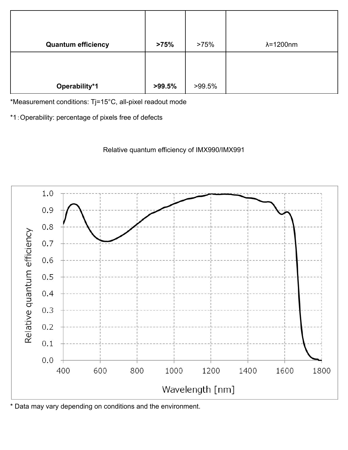| <b>Quantum efficiency</b> | >75%      | >75%   | $\lambda = 1200$ nm |
|---------------------------|-----------|--------|---------------------|
|                           |           |        |                     |
|                           |           |        |                     |
| Operability*1             | $>99.5\%$ | >99.5% |                     |

\*Measurement conditions: Tj=15°C, all-pixel readout mode

\*1:Operability: percentage of pixels free of defects





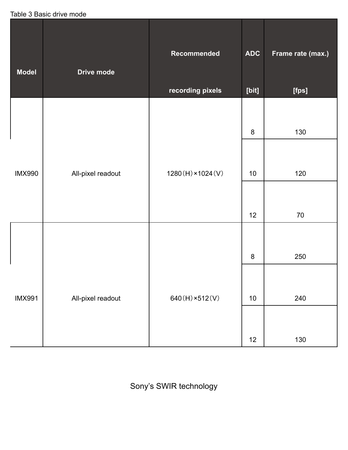Table 3 Basic drive mode

| <b>Model</b>  | Drive mode        | Recommended<br>recording pixels | <b>ADC</b><br>[bit] | Frame rate (max.)<br>[fps] |
|---------------|-------------------|---------------------------------|---------------------|----------------------------|
|               |                   |                                 |                     |                            |
|               |                   |                                 | $\bf 8$             | 130                        |
|               |                   |                                 |                     |                            |
| <b>IMX990</b> | All-pixel readout | $1280(H) \times 1024(V)$        | $10$                | 120                        |
|               |                   |                                 |                     |                            |
|               |                   |                                 | 12                  | 70                         |
|               |                   |                                 |                     |                            |
|               |                   |                                 | 8                   | 250                        |
|               |                   |                                 |                     |                            |
| <b>IMX991</b> | All-pixel readout | $640(H) \times 512(V)$          | $10$                | 240                        |
|               |                   |                                 |                     |                            |
|               |                   |                                 | 12                  | 130                        |

Sony's SWIR technology